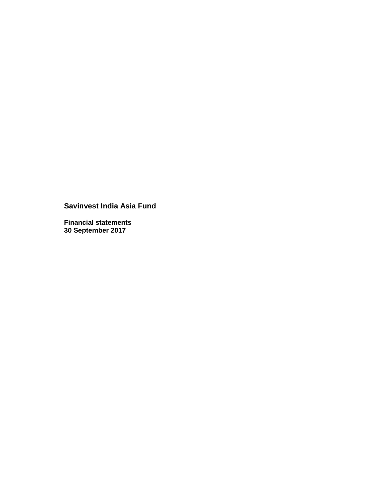**Financial statements 30 September 2017**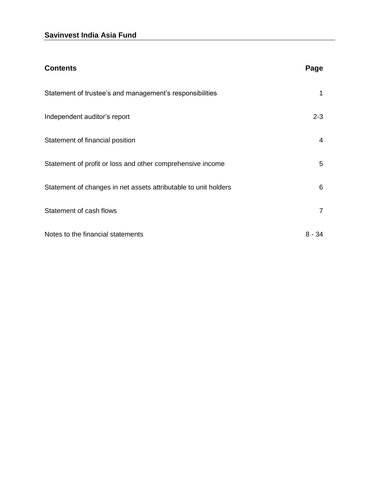| <b>Contents</b>                                                 | Page    |
|-----------------------------------------------------------------|---------|
| Statement of trustee's and management's responsibilities        | 1       |
| Independent auditor's report                                    | $2 - 3$ |
| Statement of financial position                                 | 4       |
| Statement of profit or loss and other comprehensive income      | 5       |
| Statement of changes in net assets attributable to unit holders | 6       |
| Statement of cash flows                                         | 7       |
| Notes to the financial statements                               | 8 - 34  |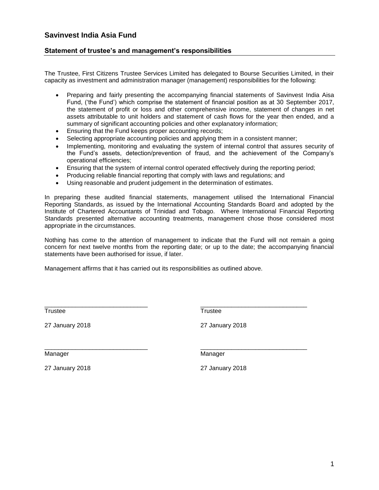# **Statement of trustee's and management's responsibilities**

The Trustee, First Citizens Trustee Services Limited has delegated to Bourse Securities Limited, in their capacity as investment and administration manager (management) responsibilities for the following:

- Preparing and fairly presenting the accompanying financial statements of Savinvest India Aisa Fund, ('the Fund') which comprise the statement of financial position as at 30 September 2017, the statement of profit or loss and other comprehensive income, statement of changes in net assets attributable to unit holders and statement of cash flows for the year then ended, and a summary of significant accounting policies and other explanatory information;
- Ensuring that the Fund keeps proper accounting records;
- Selecting appropriate accounting policies and applying them in a consistent manner;
- Implementing, monitoring and evaluating the system of internal control that assures security of the Fund's assets, detection/prevention of fraud, and the achievement of the Company's operational efficiencies;
- Ensuring that the system of internal control operated effectively during the reporting period;
- Producing reliable financial reporting that comply with laws and regulations; and
- Using reasonable and prudent judgement in the determination of estimates.

In preparing these audited financial statements, management utilised the International Financial Reporting Standards, as issued by the International Accounting Standards Board and adopted by the Institute of Chartered Accountants of Trinidad and Tobago. Where International Financial Reporting Standards presented alternative accounting treatments, management chose those considered most appropriate in the circumstances.

Nothing has come to the attention of management to indicate that the Fund will not remain a going concern for next twelve months from the reporting date; or up to the date; the accompanying financial statements have been authorised for issue, if later.

\_\_\_\_\_\_\_\_\_\_\_\_\_\_\_\_\_\_\_\_\_\_\_\_\_\_\_\_\_\_ \_\_\_\_\_\_\_\_\_\_\_\_\_\_\_\_\_\_\_\_\_\_\_\_\_\_\_\_\_\_\_

\_\_\_\_\_\_\_\_\_\_\_\_\_\_\_\_\_\_\_\_\_\_\_\_\_\_\_\_\_\_ \_\_\_\_\_\_\_\_\_\_\_\_\_\_\_\_\_\_\_\_\_\_\_\_\_\_\_\_\_\_\_

Management affirms that it has carried out its responsibilities as outlined above.

27 January 2018 27 January 2018

Trustee Trustee

Manager Manager Manager

27 January 2018 27 January 2018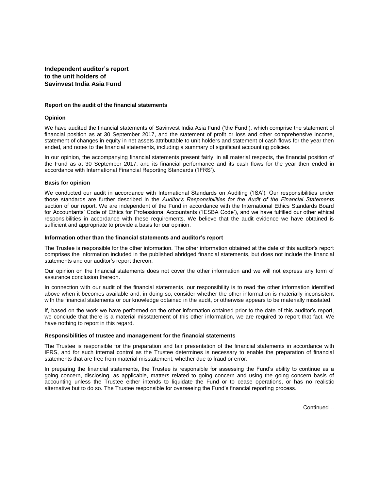**Independent auditor's report to the unit holders of Savinvest India Asia Fund**

#### **Report on the audit of the financial statements**

#### **Opinion**

We have audited the financial statements of Savinvest India Asia Fund ('the Fund'), which comprise the statement of financial position as at 30 September 2017, and the statement of profit or loss and other comprehensive income, statement of changes in equity in net assets attributable to unit holders and statement of cash flows for the year then ended, and notes to the financial statements, including a summary of significant accounting policies.

In our opinion, the accompanying financial statements present fairly, in all material respects, the financial position of the Fund as at 30 September 2017, and its financial performance and its cash flows for the year then ended in accordance with International Financial Reporting Standards ('IFRS').

#### **Basis for opinion**

We conducted our audit in accordance with International Standards on Auditing ('ISA'). Our responsibilities under those standards are further described in the *Auditor's Responsibilities for the Audit of the Financial Statements* section of our report. We are independent of the Fund in accordance with the International Ethics Standards Board for Accountants' Code of Ethics for Professional Accountants ('IESBA Code'), and we have fulfilled our other ethical responsibilities in accordance with these requirements. We believe that the audit evidence we have obtained is sufficient and appropriate to provide a basis for our opinion.

#### **Information other than the financial statements and auditor's report**

The Trustee is responsible for the other information. The other information obtained at the date of this auditor's report comprises the information included in the published abridged financial statements, but does not include the financial statements and our auditor's report thereon.

Our opinion on the financial statements does not cover the other information and we will not express any form of assurance conclusion thereon.

In connection with our audit of the financial statements, our responsibility is to read the other information identified above when it becomes available and, in doing so, consider whether the other information is materially inconsistent with the financial statements or our knowledge obtained in the audit, or otherwise appears to be materially misstated.

If, based on the work we have performed on the other information obtained prior to the date of this auditor's report, we conclude that there is a material misstatement of this other information, we are required to report that fact. We have nothing to report in this regard.

#### **Responsibilities of trustee and management for the financial statements**

The Trustee is responsible for the preparation and fair presentation of the financial statements in accordance with IFRS, and for such internal control as the Trustee determines is necessary to enable the preparation of financial statements that are free from material misstatement, whether due to fraud or error.

In preparing the financial statements, the Trustee is responsible for assessing the Fund's ability to continue as a going concern, disclosing, as applicable, matters related to going concern and using the going concern basis of accounting unless the Trustee either intends to liquidate the Fund or to cease operations, or has no realistic alternative but to do so. The Trustee responsible for overseeing the Fund's financial reporting process.

Continued…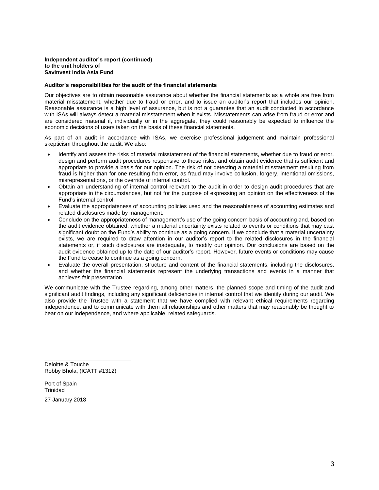#### **Independent auditor's report (continued) to the unit holders of Savinvest India Asia Fund**

#### **Auditor's responsibilities for the audit of the financial statements**

Our objectives are to obtain reasonable assurance about whether the financial statements as a whole are free from material misstatement, whether due to fraud or error, and to issue an auditor's report that includes our opinion. Reasonable assurance is a high level of assurance, but is not a guarantee that an audit conducted in accordance with ISAs will always detect a material misstatement when it exists. Misstatements can arise from fraud or error and are considered material if, individually or in the aggregate, they could reasonably be expected to influence the economic decisions of users taken on the basis of these financial statements.

As part of an audit in accordance with ISAs, we exercise professional judgement and maintain professional skepticism throughout the audit. We also:

- Identify and assess the risks of material misstatement of the financial statements, whether due to fraud or error, design and perform audit procedures responsive to those risks, and obtain audit evidence that is sufficient and appropriate to provide a basis for our opinion. The risk of not detecting a material misstatement resulting from fraud is higher than for one resulting from error, as fraud may involve collusion, forgery, intentional omissions, misrepresentations, or the override of internal control.
- Obtain an understanding of internal control relevant to the audit in order to design audit procedures that are appropriate in the circumstances, but not for the purpose of expressing an opinion on the effectiveness of the Fund's internal control.
- Evaluate the appropriateness of accounting policies used and the reasonableness of accounting estimates and related disclosures made by management.
- Conclude on the appropriateness of management's use of the going concern basis of accounting and, based on the audit evidence obtained, whether a material uncertainty exists related to events or conditions that may cast significant doubt on the Fund's ability to continue as a going concern. If we conclude that a material uncertainty exists, we are required to draw attention in our auditor's report to the related disclosures in the financial statements or, if such disclosures are inadequate, to modify our opinion. Our conclusions are based on the audit evidence obtained up to the date of our auditor's report. However, future events or conditions may cause the Fund to cease to continue as a going concern.
- Evaluate the overall presentation, structure and content of the financial statements, including the disclosures, and whether the financial statements represent the underlying transactions and events in a manner that achieves fair presentation.

We communicate with the Trustee regarding, among other matters, the planned scope and timing of the audit and significant audit findings, including any significant deficiencies in internal control that we identify during our audit. We also provide the Trustee with a statement that we have complied with relevant ethical requirements regarding independence, and to communicate with them all relationships and other matters that may reasonably be thought to bear on our independence, and where applicable, related safeguards.

Deloitte & Touche Robby Bhola, (ICATT #1312)

\_\_\_\_\_\_\_\_\_\_\_\_\_\_\_\_\_\_\_\_\_\_\_\_\_\_\_\_

Port of Spain **Trinidad** 

27 January 2018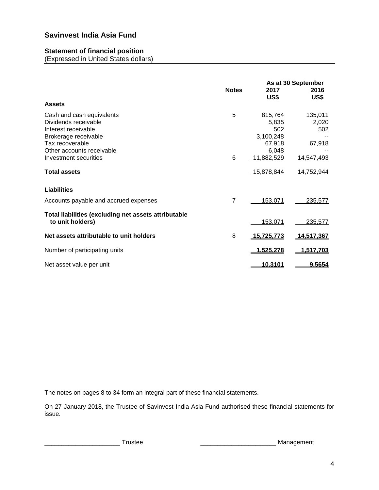# **Statement of financial position**

(Expressed in United States dollars)

|                                                      | <b>Notes</b>   | As at 30 September<br>2016<br>2017 |            |
|------------------------------------------------------|----------------|------------------------------------|------------|
|                                                      |                | US\$                               | US\$       |
| <b>Assets</b>                                        |                |                                    |            |
| Cash and cash equivalents                            | 5              | 815,764                            | 135,011    |
| Dividends receivable                                 |                | 5,835                              | 2,020      |
| Interest receivable                                  |                | 502                                | 502        |
| Brokerage receivable                                 |                | 3,100,248                          |            |
| Tax recoverable                                      |                | 67,918                             | 67,918     |
| Other accounts receivable                            |                | 6,048                              |            |
| Investment securities                                | 6              | 11,882,529                         | 14,547,493 |
| <b>Total assets</b>                                  |                | 15,878,844                         | 14,752,944 |
| <b>Liabilities</b>                                   |                |                                    |            |
| Accounts payable and accrued expenses                | $\overline{7}$ | 153,071                            | 235,577    |
| Total liabilities (excluding net assets attributable |                |                                    |            |
| to unit holders)                                     |                | 153,071                            | 235,577    |
| Net assets attributable to unit holders              | 8              | 15,725,773                         | 14,517,367 |
| Number of participating units                        |                | <u>1,525,278</u>                   | 1,517,703  |
| Net asset value per unit                             |                | 10.3101                            | 9.5654     |

The notes on pages 8 to 34 form an integral part of these financial statements.

On 27 January 2018, the Trustee of Savinvest India Asia Fund authorised these financial statements for issue.

\_\_\_\_\_\_\_\_\_\_\_\_\_\_\_\_\_\_\_\_\_\_ Trustee \_\_\_\_\_\_\_\_\_\_\_\_\_\_\_\_\_\_\_\_\_\_ Management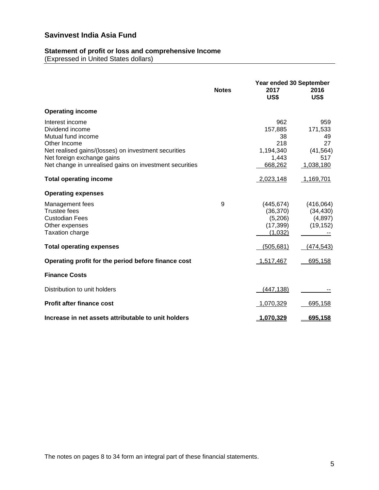# **Statement of profit or loss and comprehensive Income**

(Expressed in United States dollars)

|                                                                                                                                                                                                                           | <b>Notes</b> | Year ended 30 September<br>2017<br>US\$                      | 2016<br>US\$                                                |
|---------------------------------------------------------------------------------------------------------------------------------------------------------------------------------------------------------------------------|--------------|--------------------------------------------------------------|-------------------------------------------------------------|
| <b>Operating income</b>                                                                                                                                                                                                   |              |                                                              |                                                             |
| Interest income<br>Dividend income<br>Mutual fund income<br>Other Income<br>Net realised gains/(losses) on investment securities<br>Net foreign exchange gains<br>Net change in unrealised gains on investment securities |              | 962<br>157,885<br>38<br>218<br>1,194,340<br>1,443<br>668,262 | 959<br>171,533<br>49<br>27<br>(41, 564)<br>517<br>1,038,180 |
| <b>Total operating income</b>                                                                                                                                                                                             |              | 2,023,148                                                    | 1,169,701                                                   |
| <b>Operating expenses</b>                                                                                                                                                                                                 |              |                                                              |                                                             |
| Management fees<br><b>Trustee fees</b><br><b>Custodian Fees</b><br>Other expenses<br><b>Taxation charge</b>                                                                                                               | 9            | (445, 674)<br>(36, 370)<br>(5,206)<br>(17, 399)<br>(1,032)   | (416,064)<br>(34, 430)<br>(4, 897)<br>(19, 152)             |
| <b>Total operating expenses</b>                                                                                                                                                                                           |              | (505, 681)                                                   | (474, 543)                                                  |
| Operating profit for the period before finance cost                                                                                                                                                                       |              | 1,517,467                                                    | 695,158                                                     |
| <b>Finance Costs</b>                                                                                                                                                                                                      |              |                                                              |                                                             |
| Distribution to unit holders                                                                                                                                                                                              |              | (447, 138)                                                   |                                                             |
| <b>Profit after finance cost</b>                                                                                                                                                                                          |              | 1,070,329                                                    | 695,158                                                     |
| Increase in net assets attributable to unit holders                                                                                                                                                                       |              | 1,070,329                                                    | 695,158                                                     |

The notes on pages 8 to 34 form an integral part of these financial statements.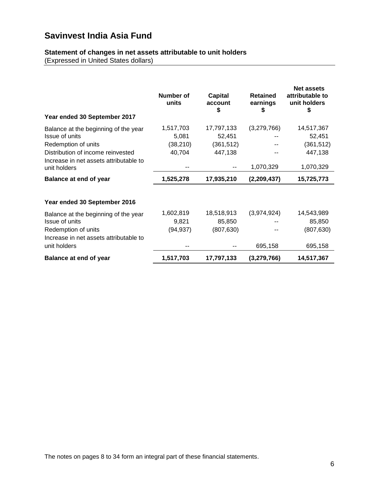# **Statement of changes in net assets attributable to unit holders**

(Expressed in United States dollars)

| Year ended 30 September 2017                           | <b>Number of</b><br>units | Capital<br>account<br>S | <b>Retained</b><br>earnings<br>S | <b>Net assets</b><br>attributable to<br>unit holders<br>S |
|--------------------------------------------------------|---------------------------|-------------------------|----------------------------------|-----------------------------------------------------------|
| Balance at the beginning of the year                   | 1,517,703                 | 17,797,133              | (3,279,766)                      | 14,517,367                                                |
| Issue of units                                         | 5,081                     | 52,451                  |                                  | 52,451                                                    |
| Redemption of units                                    | (38, 210)                 | (361, 512)              |                                  | (361, 512)                                                |
| Distribution of income reinvested                      | 40,704                    | 447,138                 |                                  | 447,138                                                   |
| Increase in net assets attributable to<br>unit holders |                           |                         | 1,070,329                        | 1,070,329                                                 |
| <b>Balance at end of year</b>                          | 1,525,278                 | 17,935,210              | (2,209,437)                      | 15,725,773                                                |
| Year ended 30 September 2016                           |                           |                         |                                  |                                                           |
| Balance at the beginning of the year                   | 1,602,819                 | 18,518,913              | (3,974,924)                      | 14,543,989                                                |
| Issue of units                                         | 9,821                     | 85,850                  |                                  | 85,850                                                    |
| Redemption of units                                    | (94, 937)                 | (807, 630)              |                                  | (807, 630)                                                |
| Increase in net assets attributable to                 |                           |                         |                                  |                                                           |
| unit holders                                           |                           |                         | 695,158                          | 695,158                                                   |
| Balance at end of year                                 | 1,517,703                 | 17,797,133              | (3,279,766)                      | 14,517,367                                                |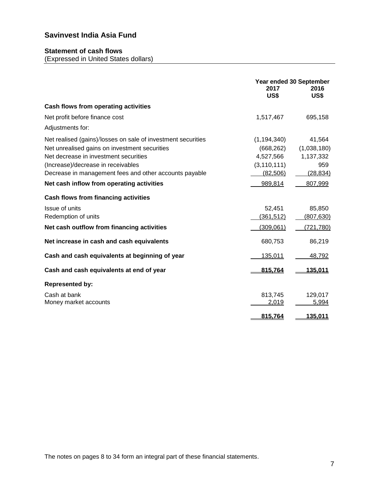# **Statement of cash flows**

(Expressed in United States dollars)

|                                                                                                                                                                                              | 2017<br>US\$                                              | Year ended 30 September<br>2016<br>US\$   |
|----------------------------------------------------------------------------------------------------------------------------------------------------------------------------------------------|-----------------------------------------------------------|-------------------------------------------|
| Cash flows from operating activities                                                                                                                                                         |                                                           |                                           |
| Net profit before finance cost                                                                                                                                                               | 1,517,467                                                 | 695,158                                   |
| Adjustments for:                                                                                                                                                                             |                                                           |                                           |
| Net realised (gains)/losses on sale of investment securities<br>Net unrealised gains on investment securities<br>Net decrease in investment securities<br>(Increase)/decrease in receivables | (1, 194, 340)<br>(668, 262)<br>4,527,566<br>(3, 110, 111) | 41,564<br>(1,038,180)<br>1,137,332<br>959 |
| Decrease in management fees and other accounts payable                                                                                                                                       | (82, 506)                                                 | (28, 834)                                 |
| Net cash inflow from operating activities                                                                                                                                                    | 989,814                                                   | 807,999                                   |
| Cash flows from financing activities                                                                                                                                                         |                                                           |                                           |
| Issue of units<br>Redemption of units                                                                                                                                                        | 52,451<br>(361, 512)                                      | 85,850<br>(807, 630)                      |
| Net cash outflow from financing activities                                                                                                                                                   | (309,061)                                                 | (721, 780)                                |
| Net increase in cash and cash equivalents                                                                                                                                                    | 680,753                                                   | 86,219                                    |
| Cash and cash equivalents at beginning of year                                                                                                                                               | 135,011                                                   | 48,792                                    |
| Cash and cash equivalents at end of year                                                                                                                                                     | 815,764                                                   | 135,011                                   |
| <b>Represented by:</b>                                                                                                                                                                       |                                                           |                                           |
| Cash at bank<br>Money market accounts                                                                                                                                                        | 813,745<br>2,019                                          | 129,017<br>5,994                          |
|                                                                                                                                                                                              | 815,764                                                   | <u>135,011</u>                            |

The notes on pages 8 to 34 form an integral part of these financial statements.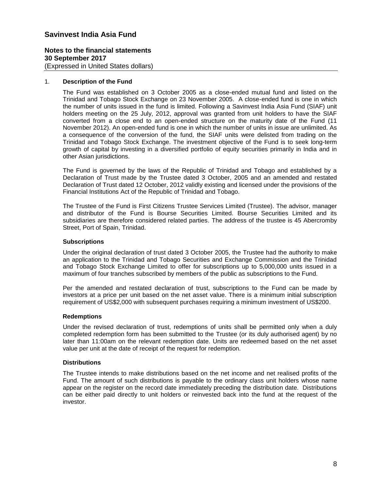# **Notes to the financial statements 30 September 2017**

(Expressed in United States dollars)

### 1. **Description of the Fund**

The Fund was established on 3 October 2005 as a close-ended mutual fund and listed on the Trinidad and Tobago Stock Exchange on 23 November 2005. A close-ended fund is one in which the number of units issued in the fund is limited. Following a Savinvest India Asia Fund (SIAF) unit holders meeting on the 25 July, 2012, approval was granted from unit holders to have the SIAF converted from a close end to an open-ended structure on the maturity date of the Fund (11 November 2012). An open-ended fund is one in which the number of units in issue are unlimited. As a consequence of the conversion of the fund, the SIAF units were delisted from trading on the Trinidad and Tobago Stock Exchange. The investment objective of the Fund is to seek long-term growth of capital by investing in a diversified portfolio of equity securities primarily in India and in other Asian jurisdictions.

The Fund is governed by the laws of the Republic of Trinidad and Tobago and established by a Declaration of Trust made by the Trustee dated 3 October, 2005 and an amended and restated Declaration of Trust dated 12 October, 2012 validly existing and licensed under the provisions of the Financial Institutions Act of the Republic of Trinidad and Tobago.

The Trustee of the Fund is First Citizens Trustee Services Limited (Trustee). The advisor, manager and distributor of the Fund is Bourse Securities Limited. Bourse Securities Limited and its subsidiaries are therefore considered related parties. The address of the trustee is 45 Abercromby Street, Port of Spain, Trinidad.

### **Subscriptions**

Under the original declaration of trust dated 3 October 2005, the Trustee had the authority to make an application to the Trinidad and Tobago Securities and Exchange Commission and the Trinidad and Tobago Stock Exchange Limited to offer for subscriptions up to 5,000,000 units issued in a maximum of four tranches subscribed by members of the public as subscriptions to the Fund.

Per the amended and restated declaration of trust, subscriptions to the Fund can be made by investors at a price per unit based on the net asset value. There is a minimum initial subscription requirement of US\$2,000 with subsequent purchases requiring a minimum investment of US\$200.

#### **Redemptions**

Under the revised declaration of trust, redemptions of units shall be permitted only when a duly completed redemption form has been submitted to the Trustee (or its duly authorised agent) by no later than 11:00am on the relevant redemption date. Units are redeemed based on the net asset value per unit at the date of receipt of the request for redemption.

#### **Distributions**

The Trustee intends to make distributions based on the net income and net realised profits of the Fund. The amount of such distributions is payable to the ordinary class unit holders whose name appear on the register on the record date immediately preceding the distribution date. Distributions can be either paid directly to unit holders or reinvested back into the fund at the request of the investor.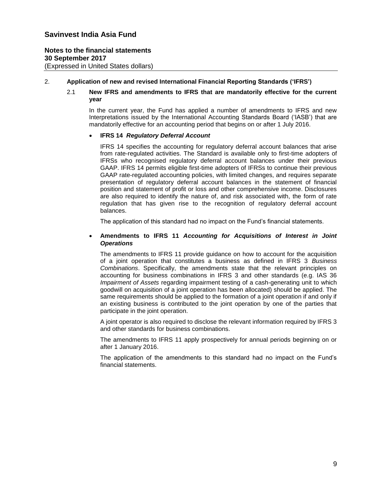# **Notes to the financial statements 30 September 2017** (Expressed in United States dollars)

### 2. **Application of new and revised International Financial Reporting Standards ('IFRS')**

### 2.1 **New IFRS and amendments to IFRS that are mandatorily effective for the current year**

In the current year, the Fund has applied a number of amendments to IFRS and new Interpretations issued by the International Accounting Standards Board ('IASB') that are mandatorily effective for an accounting period that begins on or after 1 July 2016.

#### **IFRS 14** *Regulatory Deferral Account*

IFRS 14 specifies the accounting for regulatory deferral account balances that arise from rate-regulated activities. The Standard is available only to first-time adopters of IFRSs who recognised regulatory deferral account balances under their previous GAAP. IFRS 14 permits eligible first-time adopters of IFRSs to continue their previous GAAP rate-regulated accounting policies, with limited changes, and requires separate presentation of regulatory deferral account balances in the statement of financial position and statement of profit or loss and other comprehensive income. Disclosures are also required to identify the nature of, and risk associated with, the form of rate regulation that has given rise to the recognition of regulatory deferral account balances.

The application of this standard had no impact on the Fund's financial statements.

### **Amendments to IFRS 11** *Accounting for Acquisitions of Interest in Joint Operations*

The amendments to IFRS 11 provide guidance on how to account for the acquisition of a joint operation that constitutes a business as defined in IFRS 3 *Business Combinations*. Specifically, the amendments state that the relevant principles on accounting for business combinations in IFRS 3 and other standards (e.g. IAS 36 *Impairment of Assets* regarding impairment testing of a cash-generating unit to which goodwill on acquisition of a joint operation has been allocated) should be applied. The same requirements should be applied to the formation of a joint operation if and only if an existing business is contributed to the joint operation by one of the parties that participate in the joint operation.

A joint operator is also required to disclose the relevant information required by IFRS 3 and other standards for business combinations.

The amendments to IFRS 11 apply prospectively for annual periods beginning on or after 1 January 2016.

The application of the amendments to this standard had no impact on the Fund's financial statements.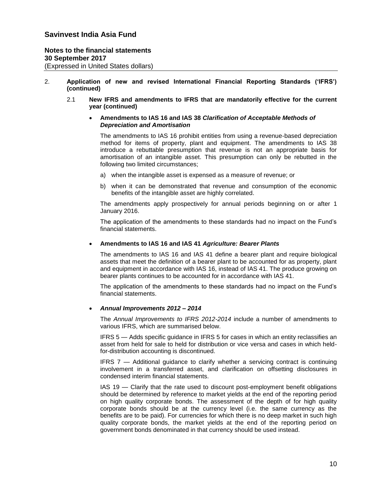# **Notes to the financial statements 30 September 2017** (Expressed in United States dollars)

# 2. **Application of new and revised International Financial Reporting Standards ('IFRS') (continued)**

2.1 **New IFRS and amendments to IFRS that are mandatorily effective for the current year (continued)**

### **Amendments to IAS 16 and IAS 38** *Clarification of Acceptable Methods of Depreciation and Amortisation*

The amendments to IAS 16 prohibit entities from using a revenue-based depreciation method for items of property, plant and equipment. The amendments to IAS 38 introduce a rebuttable presumption that revenue is not an appropriate basis for amortisation of an intangible asset. This presumption can only be rebutted in the following two limited circumstances;

- a) when the intangible asset is expensed as a measure of revenue; or
- b) when it can be demonstrated that revenue and consumption of the economic benefits of the intangible asset are highly correlated.

The amendments apply prospectively for annual periods beginning on or after 1 January 2016.

The application of the amendments to these standards had no impact on the Fund's financial statements.

### **Amendments to IAS 16 and IAS 41** *Agriculture: Bearer Plants*

The amendments to IAS 16 and IAS 41 define a bearer plant and require biological assets that meet the definition of a bearer plant to be accounted for as property, plant and equipment in accordance with IAS 16, instead of IAS 41. The produce growing on bearer plants continues to be accounted for in accordance with IAS 41.

The application of the amendments to these standards had no impact on the Fund's financial statements.

### *Annual Improvements 2012 – 2014*

The *Annual Improvements to IFRS 2012-2014* include a number of amendments to various IFRS, which are summarised below.

IFRS 5 — Adds specific guidance in IFRS 5 for cases in which an entity reclassifies an asset from held for sale to held for distribution or vice versa and cases in which heldfor-distribution accounting is discontinued.

IFRS 7 — Additional guidance to clarify whether a servicing contract is continuing involvement in a transferred asset, and clarification on offsetting disclosures in condensed interim financial statements.

IAS 19 — Clarify that the rate used to discount post-employment benefit obligations should be determined by reference to market yields at the end of the reporting period on high quality corporate bonds. The assessment of the depth of for high quality corporate bonds should be at the currency level (i.e. the same currency as the benefits are to be paid). For currencies for which there is no deep market in such high quality corporate bonds, the market yields at the end of the reporting period on government bonds denominated in that currency should be used instead.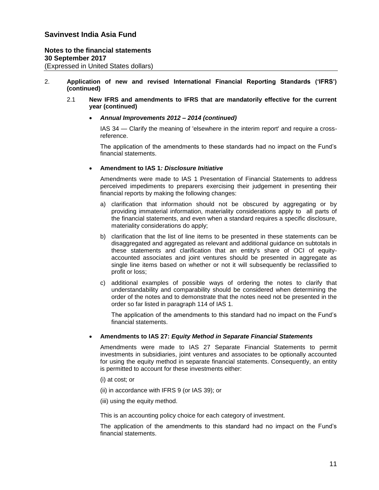### 2. **Application of new and revised International Financial Reporting Standards ('IFRS') (continued)**

- 2.1 **New IFRS and amendments to IFRS that are mandatorily effective for the current year (continued)**
	- *Annual Improvements 2012 – 2014 (continued)*

IAS 34 — Clarify the meaning of 'elsewhere in the interim report' and require a crossreference.

The application of the amendments to these standards had no impact on the Fund's financial statements.

### **Amendment to IAS 1***: Disclosure Initiative*

Amendments were made to IAS 1 Presentation of Financial Statements to address perceived impediments to preparers exercising their judgement in presenting their financial reports by making the following changes:

- a) clarification that information should not be obscured by aggregating or by providing immaterial information, materiality considerations apply to all parts of the financial statements, and even when a standard requires a specific disclosure, materiality considerations do apply;
- b) clarification that the list of line items to be presented in these statements can be disaggregated and aggregated as relevant and additional guidance on subtotals in these statements and clarification that an entity's share of OCI of equityaccounted associates and joint ventures should be presented in aggregate as single line items based on whether or not it will subsequently be reclassified to profit or loss;
- c) additional examples of possible ways of ordering the notes to clarify that understandability and comparability should be considered when determining the order of the notes and to demonstrate that the notes need not be presented in the order so far listed in paragraph 114 of IAS 1.

The application of the amendments to this standard had no impact on the Fund's financial statements.

### **Amendments to IAS 27:** *Equity Method in Separate Financial Statements*

Amendments were made to IAS 27 Separate Financial Statements to permit investments in subsidiaries, joint ventures and associates to be optionally accounted for using the equity method in separate financial statements. Consequently, an entity is permitted to account for these investments either:

- (i) at cost; or
- (ii) in accordance with IFRS 9 (or IAS 39); or
- (iii) using the equity method.

This is an accounting policy choice for each category of investment.

The application of the amendments to this standard had no impact on the Fund's financial statements.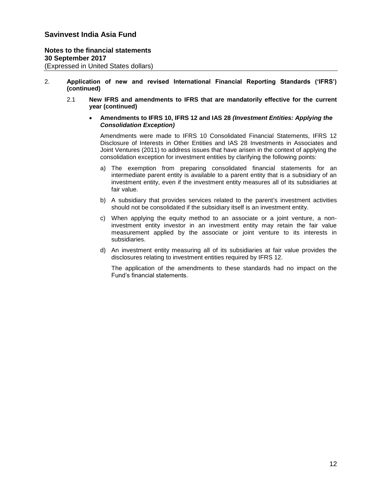# **Notes to the financial statements 30 September 2017** (Expressed in United States dollars)

- 2. **Application of new and revised International Financial Reporting Standards ('IFRS') (continued)**
	- 2.1 **New IFRS and amendments to IFRS that are mandatorily effective for the current year (continued)**
		- **Amendments to IFRS 10, IFRS 12 and IAS 28** *(Investment Entities: Applying the Consolidation Exception)*

Amendments were made to IFRS 10 Consolidated Financial Statements, IFRS 12 Disclosure of Interests in Other Entities and IAS 28 Investments in Associates and Joint Ventures (2011) to address issues that have arisen in the context of applying the consolidation exception for investment entities by clarifying the following points:

- a) The exemption from preparing consolidated financial statements for an intermediate parent entity is available to a parent entity that is a subsidiary of an investment entity, even if the investment entity measures all of its subsidiaries at fair value.
- b) A subsidiary that provides services related to the parent's investment activities should not be consolidated if the subsidiary itself is an investment entity.
- c) When applying the equity method to an associate or a joint venture, a noninvestment entity investor in an investment entity may retain the fair value measurement applied by the associate or joint venture to its interests in subsidiaries.
- d) An investment entity measuring all of its subsidiaries at fair value provides the disclosures relating to investment entities required by IFRS 12.

The application of the amendments to these standards had no impact on the Fund's financial statements.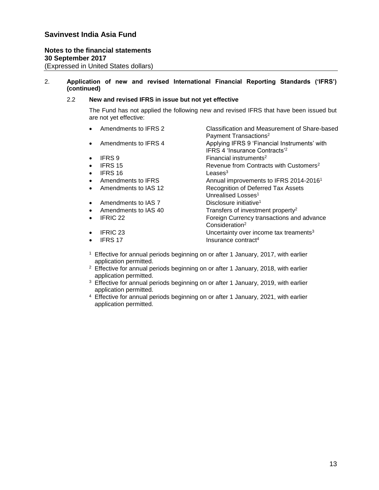# **Notes to the financial statements 30 September 2017** (Expressed in United States dollars)

## 2. **Application of new and revised International Financial Reporting Standards ('IFRS') (continued)**

### 2.2 **New and revised IFRS in issue but not yet effective**

The Fund has not applied the following new and revised IFRS that have been issued but are not yet effective:

- 
- 
- 
- 
- IFRS 16 Leases<sup>3</sup>
- 
- 
- Amendments to IAS 7 Disclosure initiative<sup>1</sup>
- 
- 
- 
- 

 Amendments to IFRS 2 Classification and Measurement of Share-based Payment Transactions<sup>2</sup>

Amendments to IFRS 4 Applying IFRS 9 'Financial Instruments' with IFRS 4 'Insurance Contracts'<sup>2</sup>

 $IFRS 9$  Financial instruments<sup>2</sup>

- IFRS 15 Revenue from Contracts with Customers<sup>2</sup>
	-
- Amendments to IFRS Annual improvements to IFRS 2014-2016<sup>1</sup>
- Amendments to IAS 12 Recognition of Deferred Tax Assets
	- Unrealised Losses<sup>1</sup>
	-
- Amendments to IAS 40 Transfers of investment property<sup>2</sup>
- IFRIC 22 Foreign Currency transactions and advance
- Consideration<sup>2</sup> • IFRIC 23 Uncertainty over income tax treaments<sup>3</sup>
	- IFRS 17 Insurance contract<sup>4</sup>
- <sup>1</sup> Effective for annual periods beginning on or after 1 January, 2017, with earlier application permitted.
- <sup>2</sup> Effective for annual periods beginning on or after 1 January, 2018, with earlier application permitted.
- <sup>3</sup> Effective for annual periods beginning on or after 1 January, 2019, with earlier application permitted.
- <sup>4</sup> Effective for annual periods beginning on or after 1 January, 2021, with earlier application permitted.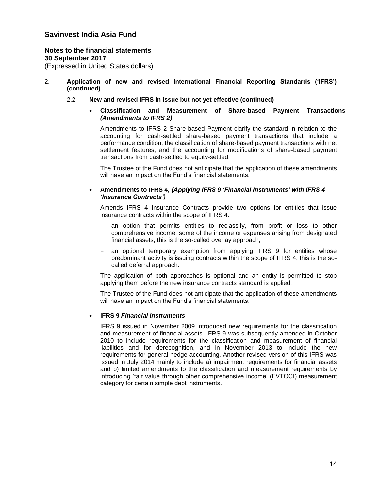# **Notes to the financial statements 30 September 2017** (Expressed in United States dollars)

#### 2. **Application of new and revised International Financial Reporting Standards ('IFRS') (continued)**

- 2.2 **New and revised IFRS in issue but not yet effective (continued)**
	- **Classification and Measurement of Share-based Payment Transactions**  *(Amendments to IFRS 2)*

Amendments to IFRS 2 Share-based Payment clarify the standard in relation to the accounting for cash-settled share-based payment transactions that include a performance condition, the classification of share-based payment transactions with net settlement features, and the accounting for modifications of share-based payment transactions from cash-settled to equity-settled.

The Trustee of the Fund does not anticipate that the application of these amendments will have an impact on the Fund's financial statements.

### **Amendments to IFRS 4,** *(Applying IFRS 9 'Financial Instruments' with IFRS 4 'Insurance Contracts')*

Amends IFRS 4 Insurance Contracts provide two options for entities that issue insurance contracts within the scope of IFRS 4:

- an option that permits entities to reclassify, from profit or loss to other comprehensive income, some of the income or expenses arising from designated financial assets; this is the so-called overlay approach;
- an optional temporary exemption from applying IFRS 9 for entities whose predominant activity is issuing contracts within the scope of IFRS 4; this is the socalled deferral approach.

The application of both approaches is optional and an entity is permitted to stop applying them before the new insurance contracts standard is applied.

The Trustee of the Fund does not anticipate that the application of these amendments will have an impact on the Fund's financial statements.

#### **IFRS 9** *Financial Instruments*

IFRS 9 issued in November 2009 introduced new requirements for the classification and measurement of financial assets. IFRS 9 was subsequently amended in October 2010 to include requirements for the classification and measurement of financial liabilities and for derecognition, and in November 2013 to include the new requirements for general hedge accounting. Another revised version of this IFRS was issued in July 2014 mainly to include a) impairment requirements for financial assets and b) limited amendments to the classification and measurement requirements by introducing 'fair value through other comprehensive income' (FVTOCI) measurement category for certain simple debt instruments.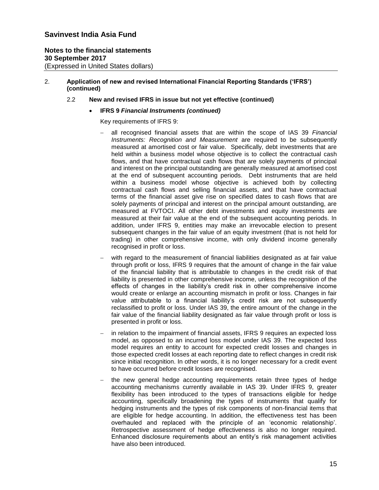# **Notes to the financial statements 30 September 2017** (Expressed in United States dollars)

### 2. **Application of new and revised International Financial Reporting Standards ('IFRS') (continued)**

### 2.2 **New and revised IFRS in issue but not yet effective (continued)**

#### **IFRS 9** *Financial Instruments (continued)*

Key requirements of IFRS 9:

- all recognised financial assets that are within the scope of IAS 39 *Financial Instruments: Recognition and Measurement* are required to be subsequently measured at amortised cost or fair value. Specifically, debt investments that are held within a business model whose objective is to collect the contractual cash flows, and that have contractual cash flows that are solely payments of principal and interest on the principal outstanding are generally measured at amortised cost at the end of subsequent accounting periods. Debt instruments that are held within a business model whose objective is achieved both by collecting contractual cash flows and selling financial assets, and that have contractual terms of the financial asset give rise on specified dates to cash flows that are solely payments of principal and interest on the principal amount outstanding, are measured at FVTOCI. All other debt investments and equity investments are measured at their fair value at the end of the subsequent accounting periods. In addition, under IFRS 9, entities may make an irrevocable election to present subsequent changes in the fair value of an equity investment (that is not held for trading) in other comprehensive income, with only dividend income generally recognised in profit or loss.
- with regard to the measurement of financial liabilities designated as at fair value through profit or loss, IFRS 9 requires that the amount of change in the fair value of the financial liability that is attributable to changes in the credit risk of that liability is presented in other comprehensive income, unless the recognition of the effects of changes in the liability's credit risk in other comprehensive income would create or enlarge an accounting mismatch in profit or loss. Changes in fair value attributable to a financial liability's credit risk are not subsequently reclassified to profit or loss. Under IAS 39, the entire amount of the change in the fair value of the financial liability designated as fair value through profit or loss is presented in profit or loss.
- in relation to the impairment of financial assets, IFRS 9 requires an expected loss model, as opposed to an incurred loss model under IAS 39. The expected loss model requires an entity to account for expected credit losses and changes in those expected credit losses at each reporting date to reflect changes in credit risk since initial recognition. In other words, it is no longer necessary for a credit event to have occurred before credit losses are recognised.
- the new general hedge accounting requirements retain three types of hedge accounting mechanisms currently available in IAS 39. Under IFRS 9, greater flexibility has been introduced to the types of transactions eligible for hedge accounting, specifically broadening the types of instruments that qualify for hedging instruments and the types of risk components of non-financial items that are eligible for hedge accounting. In addition, the effectiveness test has been overhauled and replaced with the principle of an 'economic relationship'. Retrospective assessment of hedge effectiveness is also no longer required. Enhanced disclosure requirements about an entity's risk management activities have also been introduced.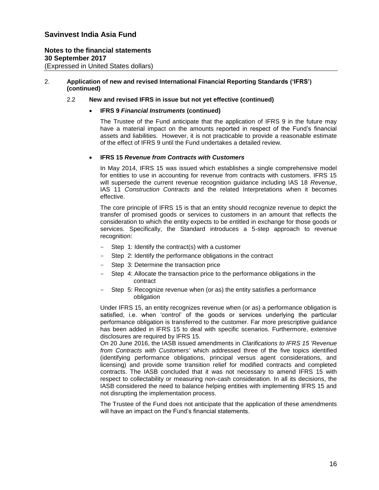### **Notes to the financial statements 30 September 2017** (Expressed in United States dollars)

### 2. **Application of new and revised International Financial Reporting Standards ('IFRS') (continued)**

#### 2.2 **New and revised IFRS in issue but not yet effective (continued)**

#### **IFRS 9** *Financial Instruments* **(continued)**

The Trustee of the Fund anticipate that the application of IFRS 9 in the future may have a material impact on the amounts reported in respect of the Fund's financial assets and liabilities. However, it is not practicable to provide a reasonable estimate of the effect of IFRS 9 until the Fund undertakes a detailed review.

#### **IFRS 15** *Revenue from Contracts with Customers*

In May 2014, IFRS 15 was issued which establishes a single comprehensive model for entities to use in accounting for revenue from contracts with customers. IFRS 15 will supersede the current revenue recognition guidance including IAS 18 *Revenue*, IAS 11 *Construction Contracts* and the related Interpretations when it becomes effective.

The core principle of IFRS 15 is that an entity should recognize revenue to depict the transfer of promised goods or services to customers in an amount that reflects the consideration to which the entity expects to be entitled in exchange for those goods or services. Specifically, the Standard introduces a 5-step approach to revenue recognition:

- Step 1: Identify the contract(s) with a customer
- Step 2: Identify the performance obligations in the contract
- Step 3: Determine the transaction price
- Step 4: Allocate the transaction price to the performance obligations in the contract
- Step 5: Recognize revenue when (or as) the entity satisfies a performance obligation

Under IFRS 15, an entity recognizes revenue when (or as) a performance obligation is satisfied, i.e. when 'control' of the goods or services underlying the particular performance obligation is transferred to the customer. Far more prescriptive guidance has been added in IFRS 15 to deal with specific scenarios. Furthermore, extensive disclosures are required by IFRS 15.

On 20 June 2016, the IASB issued amendments in *Clarifications to IFRS 15 'Revenue from Contracts with Customers'* which addressed three of the five topics identified (identifying performance obligations, principal versus agent considerations, and licensing) and provide some transition relief for modified contracts and completed contracts. The IASB concluded that it was not necessary to amend IFRS 15 with respect to collectability or measuring non-cash consideration. In all its decisions, the IASB considered the need to balance helping entities with implementing IFRS 15 and not disrupting the implementation process.

The Trustee of the Fund does not anticipate that the application of these amendments will have an impact on the Fund's financial statements.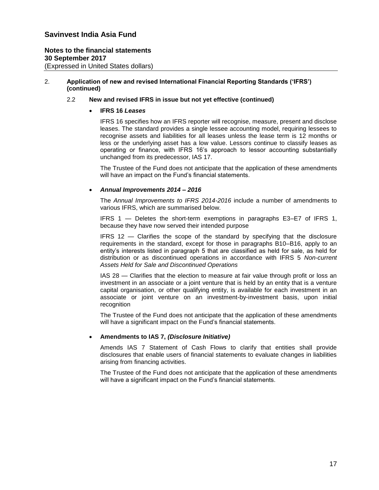**Notes to the financial statements 30 September 2017** (Expressed in United States dollars)

#### 2. **Application of new and revised International Financial Reporting Standards ('IFRS') (continued)**

#### 2.2 **New and revised IFRS in issue but not yet effective (continued)**

#### **IFRS 16** *Leases*

IFRS 16 specifies how an IFRS reporter will recognise, measure, present and disclose leases. The standard provides a single lessee accounting model, requiring lessees to recognise assets and liabilities for all leases unless the lease term is 12 months or less or the underlying asset has a low value. Lessors continue to classify leases as operating or finance, with IFRS 16's approach to lessor accounting substantially unchanged from its predecessor, IAS 17.

The Trustee of the Fund does not anticipate that the application of these amendments will have an impact on the Fund's financial statements.

### *Annual Improvements 2014 – 2016*

The *Annual Improvements to IFRS 2014-2016* include a number of amendments to various IFRS, which are summarised below.

IFRS 1 — Deletes the short-term exemptions in paragraphs E3–E7 of IFRS 1, because they have now served their intended purpose

IFRS 12 — Clarifies the scope of the standard by specifying that the disclosure requirements in the standard, except for those in paragraphs B10–B16, apply to an entity's interests listed in paragraph 5 that are classified as held for sale, as held for distribution or as discontinued operations in accordance with IFRS 5 *Non-current Assets Held for Sale and Discontinued Operations*

IAS 28 — Clarifies that the election to measure at fair value through profit or loss an investment in an associate or a joint venture that is held by an entity that is a venture capital organisation, or other qualifying entity, is available for each investment in an associate or joint venture on an investment-by-investment basis, upon initial recognition

The Trustee of the Fund does not anticipate that the application of these amendments will have a significant impact on the Fund's financial statements.

#### **Amendments to IAS 7,** *(Disclosure Initiative)*

Amends IAS 7 Statement of Cash Flows to clarify that entities shall provide disclosures that enable users of financial statements to evaluate changes in liabilities arising from financing activities.

The Trustee of the Fund does not anticipate that the application of these amendments will have a significant impact on the Fund's financial statements.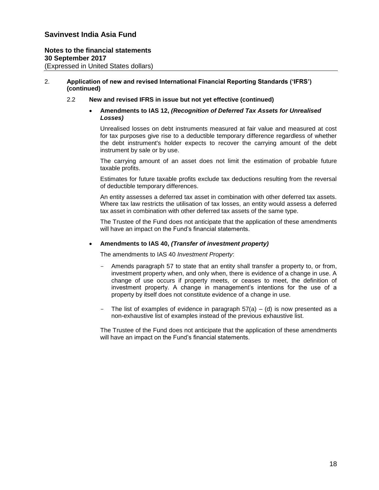# **Notes to the financial statements 30 September 2017** (Expressed in United States dollars)

### 2. **Application of new and revised International Financial Reporting Standards ('IFRS') (continued)**

### 2.2 **New and revised IFRS in issue but not yet effective (continued)**

### **Amendments to IAS 12,** *(Recognition of Deferred Tax Assets for Unrealised Losses)*

Unrealised losses on debt instruments measured at fair value and measured at cost for tax purposes give rise to a deductible temporary difference regardless of whether the debt instrument's holder expects to recover the carrying amount of the debt instrument by sale or by use.

The carrying amount of an asset does not limit the estimation of probable future taxable profits.

Estimates for future taxable profits exclude tax deductions resulting from the reversal of deductible temporary differences.

An entity assesses a deferred tax asset in combination with other deferred tax assets. Where tax law restricts the utilisation of tax losses, an entity would assess a deferred tax asset in combination with other deferred tax assets of the same type.

The Trustee of the Fund does not anticipate that the application of these amendments will have an impact on the Fund's financial statements.

#### **Amendments to IAS 40,** *(Transfer of investment property)*

The amendments to [IAS 40](https://www.iasplus.com/en/standards/ias/ias40) *Investment Property*:

- Amends paragraph 57 to state that an entity shall transfer a property to, or from, investment property when, and only when, there is evidence of a change in use. A change of use occurs if property meets, or ceases to meet, the definition of investment property. A change in management's intentions for the use of a property by itself does not constitute evidence of a change in use.
- The list of examples of evidence in paragraph  $57(a) (d)$  is now presented as a non-exhaustive list of examples instead of the previous exhaustive list.

The Trustee of the Fund does not anticipate that the application of these amendments will have an impact on the Fund's financial statements.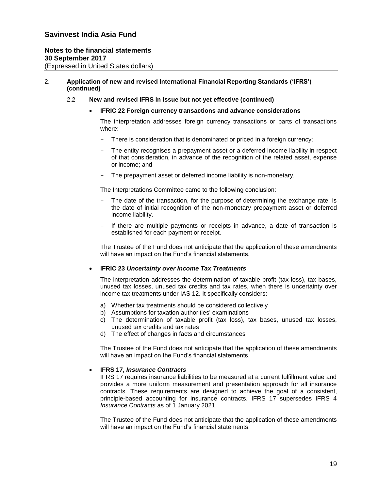# **Notes to the financial statements 30 September 2017**

(Expressed in United States dollars)

## 2. **Application of new and revised International Financial Reporting Standards ('IFRS') (continued)**

### 2.2 **New and revised IFRS in issue but not yet effective (continued)**

### **IFRIC 22 Foreign currency transactions and advance considerations**

The interpretation addresses foreign currency transactions or parts of transactions where:

- There is consideration that is denominated or priced in a foreign currency;
- The entity recognises a prepayment asset or a deferred income liability in respect of that consideration, in advance of the recognition of the related asset, expense or income; and
- The prepayment asset or deferred income liability is non-monetary.

The Interpretations Committee came to the following conclusion:

- The date of the transaction, for the purpose of determining the exchange rate, is the date of initial recognition of the non-monetary prepayment asset or deferred income liability.
- If there are multiple payments or receipts in advance, a date of transaction is established for each payment or receipt.

The Trustee of the Fund does not anticipate that the application of these amendments will have an impact on the Fund's financial statements.

### **[IFRIC 23](https://www.iasplus.com/en/standards/ifric/ifric-23)** *Uncertainty over Income Tax Treatments*

The interpretation addresses the determination of taxable profit (tax loss), tax bases, unused tax losses, unused tax credits and tax rates, when there is uncertainty over income tax treatments under IAS 12. It specifically considers:

- a) Whether tax treatments should be considered collectively
- b) Assumptions for taxation authorities' examinations
- c) The determination of taxable profit (tax loss), tax bases, unused tax losses, unused tax credits and tax rates
- d) The effect of changes in facts and circumstances

The Trustee of the Fund does not anticipate that the application of these amendments will have an impact on the Fund's financial statements.

### **IFRS 17,** *Insurance Contracts*

IFRS 17 requires insurance liabilities to be measured at a current fulfillment value and provides a more uniform measurement and presentation approach for all insurance contracts. These requirements are designed to achieve the goal of a consistent, principle-based accounting for insurance contracts. IFRS 17 supersedes IFRS 4 *Insurance Contracts* as of 1 January 2021.

The Trustee of the Fund does not anticipate that the application of these amendments will have an impact on the Fund's financial statements.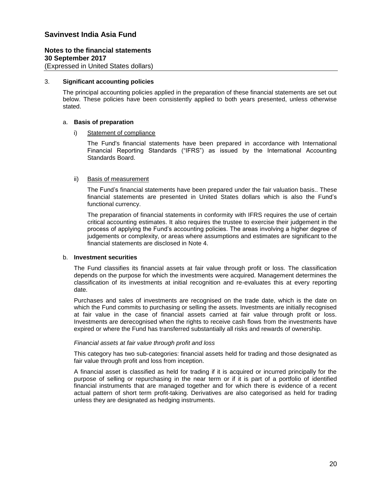## **Notes to the financial statements 30 September 2017** (Expressed in United States dollars)

#### 3. **Significant accounting policies**

The principal accounting policies applied in the preparation of these financial statements are set out below. These policies have been consistently applied to both years presented, unless otherwise stated.

#### a. **Basis of preparation**

i) Statement of compliance

The Fund's financial statements have been prepared in accordance with International Financial Reporting Standards ("IFRS") as issued by the International Accounting Standards Board.

#### ii) Basis of measurement

The Fund's financial statements have been prepared under the fair valuation basis.. These financial statements are presented in United States dollars which is also the Fund's functional currency.

The preparation of financial statements in conformity with IFRS requires the use of certain critical accounting estimates. It also requires the trustee to exercise their judgement in the process of applying the Fund's accounting policies. The areas involving a higher degree of judgements or complexity, or areas where assumptions and estimates are significant to the financial statements are disclosed in Note 4.

### b. **Investment securities**

The Fund classifies its financial assets at fair value through profit or loss. The classification depends on the purpose for which the investments were acquired. Management determines the classification of its investments at initial recognition and re-evaluates this at every reporting date.

Purchases and sales of investments are recognised on the trade date, which is the date on which the Fund commits to purchasing or selling the assets. Investments are initially recognised at fair value in the case of financial assets carried at fair value through profit or loss. Investments are derecognised when the rights to receive cash flows from the investments have expired or where the Fund has transferred substantially all risks and rewards of ownership.

### *Financial assets at fair value through profit and loss*

This category has two sub-categories: financial assets held for trading and those designated as fair value through profit and loss from inception.

A financial asset is classified as held for trading if it is acquired or incurred principally for the purpose of selling or repurchasing in the near term or if it is part of a portfolio of identified financial instruments that are managed together and for which there is evidence of a recent actual pattern of short term profit-taking. Derivatives are also categorised as held for trading unless they are designated as hedging instruments.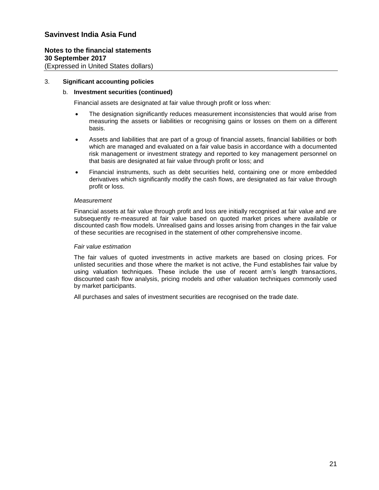# **Notes to the financial statements 30 September 2017**

(Expressed in United States dollars)

### 3. **Significant accounting policies**

### b. **Investment securities (continued)**

Financial assets are designated at fair value through profit or loss when:

- The designation significantly reduces measurement inconsistencies that would arise from measuring the assets or liabilities or recognising gains or losses on them on a different basis.
- Assets and liabilities that are part of a group of financial assets, financial liabilities or both which are managed and evaluated on a fair value basis in accordance with a documented risk management or investment strategy and reported to key management personnel on that basis are designated at fair value through profit or loss; and
- Financial instruments, such as debt securities held, containing one or more embedded derivatives which significantly modify the cash flows, are designated as fair value through profit or loss.

### *Measurement*

Financial assets at fair value through profit and loss are initially recognised at fair value and are subsequently re-measured at fair value based on quoted market prices where available or discounted cash flow models. Unrealised gains and losses arising from changes in the fair value of these securities are recognised in the statement of other comprehensive income.

#### *Fair value estimation*

The fair values of quoted investments in active markets are based on closing prices. For unlisted securities and those where the market is not active, the Fund establishes fair value by using valuation techniques. These include the use of recent arm's length transactions, discounted cash flow analysis, pricing models and other valuation techniques commonly used by market participants.

All purchases and sales of investment securities are recognised on the trade date.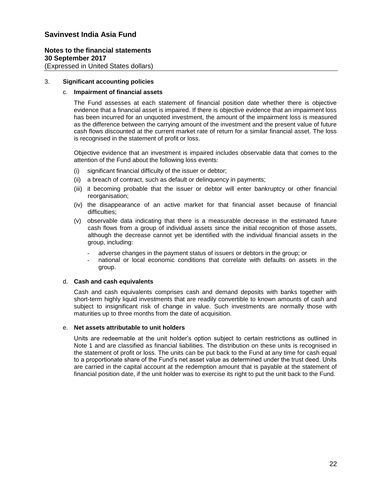# **Notes to the financial statements 30 September 2017**

(Expressed in United States dollars)

### 3. **Significant accounting policies**

### c. **Impairment of financial assets**

The Fund assesses at each statement of financial position date whether there is objective evidence that a financial asset is impaired. If there is objective evidence that an impairment loss has been incurred for an unquoted investment, the amount of the impairment loss is measured as the difference between the carrying amount of the investment and the present value of future cash flows discounted at the current market rate of return for a similar financial asset. The loss is recognised in the statement of profit or loss.

Objective evidence that an investment is impaired includes observable data that comes to the attention of the Fund about the following loss events:

- (i) significant financial difficulty of the issuer or debtor;
- (ii) a breach of contract, such as default or delinquency in payments;
- (iii) it becoming probable that the issuer or debtor will enter bankruptcy or other financial reorganisation;
- (iv) the disappearance of an active market for that financial asset because of financial difficulties;
- (v) observable data indicating that there is a measurable decrease in the estimated future cash flows from a group of individual assets since the initial recognition of those assets, although the decrease cannot yet be identified with the individual financial assets in the group, including:
	- adverse changes in the payment status of issuers or debtors in the group; or
	- national or local economic conditions that correlate with defaults on assets in the group.

### d. **Cash and cash equivalents**

Cash and cash equivalents comprises cash and demand deposits with banks together with short-term highly liquid investments that are readily convertible to known amounts of cash and subject to insignificant risk of change in value. Such investments are normally those with maturities up to three months from the date of acquisition.

### e. **Net assets attributable to unit holders**

Units are redeemable at the unit holder's option subject to certain restrictions as outlined in Note 1 and are classified as financial liabilities. The distribution on these units is recognised in the statement of profit or loss. The units can be put back to the Fund at any time for cash equal to a proportionate share of the Fund's net asset value as determined under the trust deed. Units are carried in the capital account at the redemption amount that is payable at the statement of financial position date, if the unit holder was to exercise its right to put the unit back to the Fund.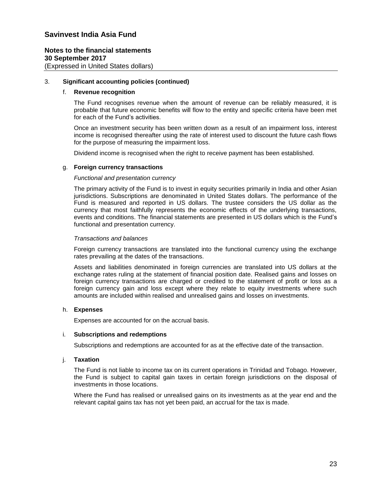# **Notes to the financial statements 30 September 2017**

(Expressed in United States dollars)

### 3. **Significant accounting policies (continued)**

### f. **Revenue recognition**

The Fund recognises revenue when the amount of revenue can be reliably measured, it is probable that future economic benefits will flow to the entity and specific criteria have been met for each of the Fund's activities.

Once an investment security has been written down as a result of an impairment loss, interest income is recognised thereafter using the rate of interest used to discount the future cash flows for the purpose of measuring the impairment loss.

Dividend income is recognised when the right to receive payment has been established.

### g. **Foreign currency transactions**

### *Functional and presentation currency*

The primary activity of the Fund is to invest in equity securities primarily in India and other Asian jurisdictions. Subscriptions are denominated in United States dollars. The performance of the Fund is measured and reported in US dollars. The trustee considers the US dollar as the currency that most faithfully represents the economic effects of the underlying transactions, events and conditions. The financial statements are presented in US dollars which is the Fund's functional and presentation currency.

### *Transactions and balances*

Foreign currency transactions are translated into the functional currency using the exchange rates prevailing at the dates of the transactions.

Assets and liabilities denominated in foreign currencies are translated into US dollars at the exchange rates ruling at the statement of financial position date. Realised gains and losses on foreign currency transactions are charged or credited to the statement of profit or loss as a foreign currency gain and loss except where they relate to equity investments where such amounts are included within realised and unrealised gains and losses on investments.

### h. **Expenses**

Expenses are accounted for on the accrual basis.

### i. **Subscriptions and redemptions**

Subscriptions and redemptions are accounted for as at the effective date of the transaction.

### j. **Taxation**

The Fund is not liable to income tax on its current operations in Trinidad and Tobago. However, the Fund is subject to capital gain taxes in certain foreign jurisdictions on the disposal of investments in those locations.

Where the Fund has realised or unrealised gains on its investments as at the year end and the relevant capital gains tax has not yet been paid, an accrual for the tax is made.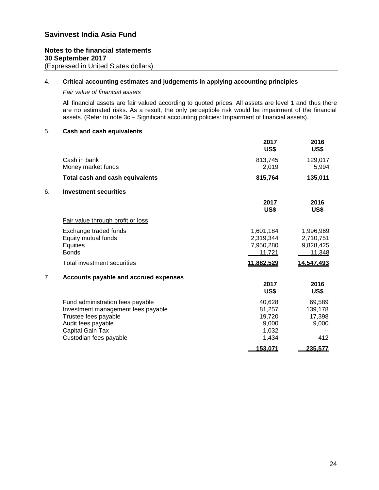# **Notes to the financial statements 30 September 2017**

(Expressed in United States dollars)

# 4. **Critical accounting estimates and judgements in applying accounting principles**

### *Fair value of financial assets*

All financial assets are fair valued according to quoted prices. All assets are level 1 and thus there are no estimated risks. As a result, the only perceptible risk would be impairment of the financial assets. (Refer to note 3c – Significant accounting policies: Impairment of financial assets).

### 5. **Cash and cash equivalents**

|    |                                                                                                                                                                    | 2017<br>US\$                                          | 2016<br>US\$                                  |
|----|--------------------------------------------------------------------------------------------------------------------------------------------------------------------|-------------------------------------------------------|-----------------------------------------------|
|    | Cash in bank<br>Money market funds                                                                                                                                 | 813,745<br>2,019                                      | 129,017<br>5,994                              |
|    | Total cash and cash equivalents                                                                                                                                    | 815,764                                               | 135,011                                       |
| 6. | <b>Investment securities</b>                                                                                                                                       |                                                       |                                               |
|    |                                                                                                                                                                    | 2017<br>US\$                                          | 2016<br>US\$                                  |
|    | Fair value through profit or loss                                                                                                                                  |                                                       |                                               |
|    | Exchange traded funds<br>Equity mutual funds<br>Equities<br><b>Bonds</b>                                                                                           | 1,601,184<br>2,319,344<br>7,950,280<br>11,721         | 1,996,969<br>2,710,751<br>9,828,425<br>11,348 |
|    | <b>Total investment securities</b>                                                                                                                                 | 11,882,529                                            | <u>14,547,493</u>                             |
| 7. | Accounts payable and accrued expenses                                                                                                                              | 2017<br>US\$                                          | 2016<br>US\$                                  |
|    | Fund administration fees payable<br>Investment management fees payable<br>Trustee fees payable<br>Audit fees payable<br>Capital Gain Tax<br>Custodian fees payable | 40,628<br>81,257<br>19,720<br>9,000<br>1,032<br>1,434 | 69,589<br>139,178<br>17,398<br>9,000<br>412   |
|    |                                                                                                                                                                    | 153,071                                               | 235,577                                       |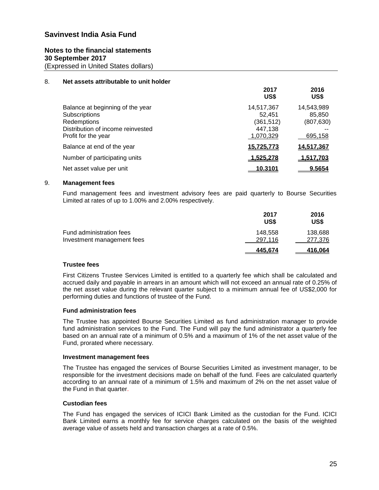### **Notes to the financial statements 30 September 2017**

(Expressed in United States dollars)

### 8. **Net assets attributable to unit holder**

|                                                                                                                              | 2017<br>US\$                                               | 2016<br>US\$                                  |
|------------------------------------------------------------------------------------------------------------------------------|------------------------------------------------------------|-----------------------------------------------|
| Balance at beginning of the year<br>Subscriptions<br>Redemptions<br>Distribution of income reinvested<br>Profit for the year | 14,517,367<br>52.451<br>(361, 512)<br>447,138<br>1,070,329 | 14,543,989<br>85,850<br>(807, 630)<br>695,158 |
| Balance at end of the year                                                                                                   | 15,725,773                                                 | <u>14,517,367</u>                             |
| Number of participating units                                                                                                | <u>1,525,278</u>                                           |                                               |
| Net asset value per unit                                                                                                     | 10.3101                                                    | 9.5654                                        |

#### 9. **Management fees**

Fund management fees and investment advisory fees are paid quarterly to Bourse Securities Limited at rates of up to 1.00% and 2.00% respectively.

|                            | 2017<br>US\$   | 2016<br>US\$   |
|----------------------------|----------------|----------------|
| Fund administration fees   | 148.558        | 138,688        |
| Investment management fees | 297.116        | 277,376        |
|                            | <u>445.674</u> | <u>416.064</u> |

#### **Trustee fees**

First Citizens Trustee Services Limited is entitled to a quarterly fee which shall be calculated and accrued daily and payable in arrears in an amount which will not exceed an annual rate of 0.25% of the net asset value during the relevant quarter subject to a minimum annual fee of US\$2,000 for performing duties and functions of trustee of the Fund.

#### **Fund administration fees**

The Trustee has appointed Bourse Securities Limited as fund administration manager to provide fund administration services to the Fund. The Fund will pay the fund administrator a quarterly fee based on an annual rate of a minimum of 0.5% and a maximum of 1% of the net asset value of the Fund, prorated where necessary.

#### **Investment management fees**

The Trustee has engaged the services of Bourse Securities Limited as investment manager, to be responsible for the investment decisions made on behalf of the fund. Fees are calculated quarterly according to an annual rate of a minimum of 1.5% and maximum of 2% on the net asset value of the Fund in that quarter.

### **Custodian fees**

The Fund has engaged the services of ICICI Bank Limited as the custodian for the Fund. ICICI Bank Limited earns a monthly fee for service charges calculated on the basis of the weighted average value of assets held and transaction charges at a rate of 0.5%.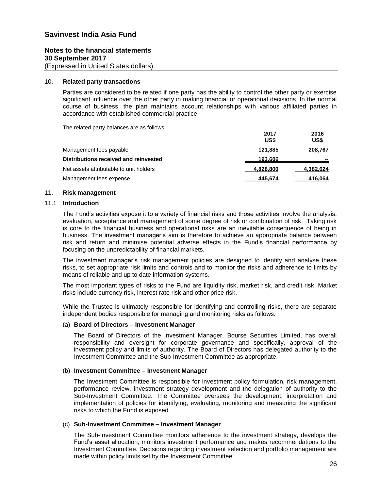# **Notes to the financial statements 30 September 2017**

(Expressed in United States dollars)

#### 10. **Related party transactions**

Parties are considered to be related if one party has the ability to control the other party or exercise significant influence over the other party in making financial or operational decisions. In the normal course of business, the plan maintains account relationships with various affiliated parties in accordance with established commercial practice.

The related party balances are as follows:

|                                         | 2017             | 2016             |
|-----------------------------------------|------------------|------------------|
|                                         | US\$             | US\$             |
| Management fees payable                 | <u>121.885</u>   | <u> 208.767</u>  |
| Distributions received and reinvested   | 193.606          |                  |
| Net assets attributable to unit holders | <u>4.828.800</u> | <u>4.382.624</u> |
| Management fees expense                 | 445.674          | 416.064          |

#### 11. **Risk management**

#### 11.1 **Introduction**

The Fund's activities expose it to a variety of financial risks and those activities involve the analysis, evaluation, acceptance and management of some degree of risk or combination of risk. Taking risk is core to the financial business and operational risks are an inevitable consequence of being in business. The investment manager's aim is therefore to achieve an appropriate balance between risk and return and minimise potential adverse effects in the Fund's financial performance by focusing on the unpredictability of financial markets.

The investment manager's risk management policies are designed to identify and analyse these risks, to set appropriate risk limits and controls and to monitor the risks and adherence to limits by means of reliable and up to date information systems.

The most important types of risks to the Fund are liquidity risk, market risk, and credit risk. Market risks include currency risk, interest rate risk and other price risk.

While the Trustee is ultimately responsible for identifying and controlling risks, there are separate independent bodies responsible for managing and monitoring risks as follows:

#### (a) **Board of Directors – Investment Manager**

The Board of Directors of the Investment Manager, Bourse Securities Limited, has overall responsibility and oversight for corporate governance and specifically, approval of the investment policy and limits of authority. The Board of Directors has delegated authority to the Investment Committee and the Sub-Investment Committee as appropriate.

#### (b) **Investment Committee – Investment Manager**

The Investment Committee is responsible for investment policy formulation, risk management, performance review, investment strategy development and the delegation of authority to the Sub-Investment Committee. The Committee oversees the development, interpretation and implementation of policies for identifying, evaluating, monitoring and measuring the significant risks to which the Fund is exposed.

#### (c) **Sub-Investment Committee – Investment Manager**

The Sub-Investment Committee monitors adherence to the investment strategy, develops the Fund's asset allocation, monitors investment performance and makes recommendations to the Investment Committee. Decisions regarding investment selection and portfolio management are made within policy limits set by the Investment Committee.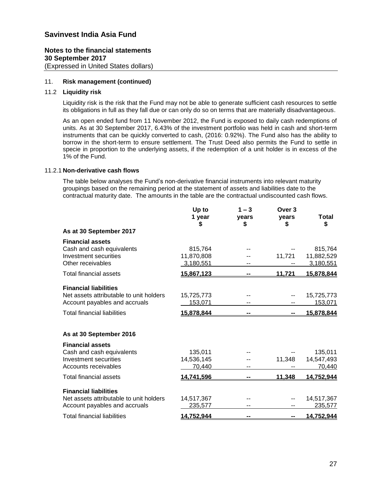# **Notes to the financial statements 30 September 2017** (Expressed in United States dollars)

### 11. **Risk management (continued)**

### 11.2 **Liquidity risk**

Liquidity risk is the risk that the Fund may not be able to generate sufficient cash resources to settle its obligations in full as they fall due or can only do so on terms that are materially disadvantageous.

As an open ended fund from 11 November 2012, the Fund is exposed to daily cash redemptions of units. As at 30 September 2017, 6.43% of the investment portfolio was held in cash and short-term instruments that can be quickly converted to cash, (2016: 0.92%). The Fund also has the ability to borrow in the short-term to ensure settlement. The Trust Deed also permits the Fund to settle in specie in proportion to the underlying assets, if the redemption of a unit holder is in excess of the 1% of the Fund.

### 11.2.1 **Non-derivative cash flows**

The table below analyses the Fund's non-derivative financial instruments into relevant maturity groupings based on the remaining period at the statement of assets and liabilities date to the contractual maturity date. The amounts in the table are the contractual undiscounted cash flows.

|                                         | Up to<br>1 year<br>S | $1 - 3$<br>years<br>\$ | Over 3<br>years<br>5 | Total<br>\$       |
|-----------------------------------------|----------------------|------------------------|----------------------|-------------------|
| As at 30 September 2017                 |                      |                        |                      |                   |
| <b>Financial assets</b>                 |                      |                        |                      |                   |
| Cash and cash equivalents               | 815,764              |                        |                      | 815,764           |
| Investment securities                   | 11,870,808           |                        | 11,721               | 11,882,529        |
| Other receivables                       | 3,180,551            |                        |                      | 3,180,551         |
| Total financial assets                  | 15,867,123           |                        | <u> 11.721</u>       | <u>15,878,844</u> |
| <b>Financial liabilities</b>            |                      |                        |                      |                   |
| Net assets attributable to unit holders | 15,725,773           |                        |                      | 15,725,773        |
| Account payables and accruals           | 153,071              |                        |                      | 153,071           |
| <b>Total financial liabilities</b>      | 15,878,844           | --                     |                      | 15,878,844        |
| As at 30 September 2016                 |                      |                        |                      |                   |
| <b>Financial assets</b>                 |                      |                        |                      |                   |
| Cash and cash equivalents               | 135,011              |                        |                      | 135,011           |
| Investment securities                   | 14,536,145           |                        | 11,348               | 14,547,493        |
| Accounts receivables                    | 70,440               |                        |                      | 70,440            |
| <b>Total financial assets</b>           | 14,741,596           |                        | 11,348               | 14.752.944        |
| <b>Financial liabilities</b>            |                      |                        |                      |                   |
| Net assets attributable to unit holders | 14,517,367           |                        |                      | 14,517,367        |
| Account payables and accruals           | 235,577              |                        |                      | 235,577           |
| Total financial liabilities             | 14,752,944           | --                     | --                   | 14,752,944        |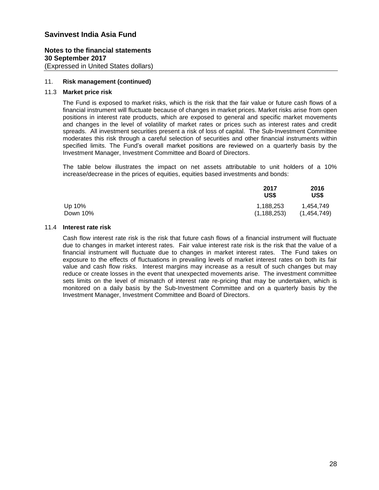# **Notes to the financial statements 30 September 2017**

(Expressed in United States dollars)

### 11. **Risk management (continued)**

#### 11.3 **Market price risk**

The Fund is exposed to market risks, which is the risk that the fair value or future cash flows of a financial instrument will fluctuate because of changes in market prices. Market risks arise from open positions in interest rate products, which are exposed to general and specific market movements and changes in the level of volatility of market rates or prices such as interest rates and credit spreads. All investment securities present a risk of loss of capital. The Sub-Investment Committee moderates this risk through a careful selection of securities and other financial instruments within specified limits. The Fund's overall market positions are reviewed on a quarterly basis by the Investment Manager, Investment Committee and Board of Directors.

The table below illustrates the impact on net assets attributable to unit holders of a 10% increase/decrease in the prices of equities, equities based investments and bonds:

|          | 2017<br>US\$  | 2016<br>US\$ |
|----------|---------------|--------------|
| Up 10%   | 1,188,253     | 1.454.749    |
| Down 10% | (1, 188, 253) | (1,454,749)  |

### 11.4 **Interest rate risk**

Cash flow interest rate risk is the risk that future cash flows of a financial instrument will fluctuate due to changes in market interest rates. Fair value interest rate risk is the risk that the value of a financial instrument will fluctuate due to changes in market interest rates. The Fund takes on exposure to the effects of fluctuations in prevailing levels of market interest rates on both its fair value and cash flow risks. Interest margins may increase as a result of such changes but may reduce or create losses in the event that unexpected movements arise. The investment committee sets limits on the level of mismatch of interest rate re-pricing that may be undertaken, which is monitored on a daily basis by the Sub-Investment Committee and on a quarterly basis by the Investment Manager, Investment Committee and Board of Directors.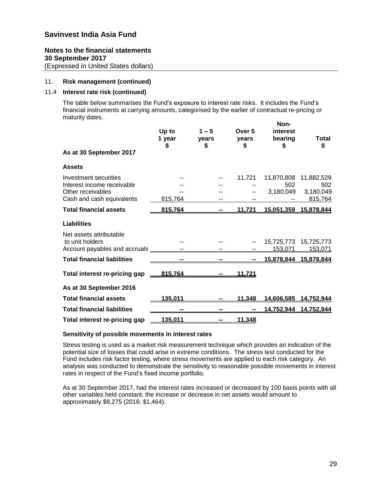# **Notes to the financial statements 30 September 2017**

(Expressed in United States dollars)

# 11. **Risk management (continued)**

# 11.4 **Interest rate risk (continued)**

The table below summarises the Fund's exposure to interest rate risks. It includes the Fund's financial instruments at carrying amounts, categorised by the earlier of contractual re-pricing or maturity dates. **Non-**

| As at 30 September 2017                                                                               | Up to<br>1 year<br>\$ | $1 - 5$<br>vears<br>\$ | Over 5<br>vears<br>\$ | Non-<br>interest<br>bearing<br>\$ | Total<br>\$                               |
|-------------------------------------------------------------------------------------------------------|-----------------------|------------------------|-----------------------|-----------------------------------|-------------------------------------------|
| <b>Assets</b>                                                                                         |                       |                        |                       |                                   |                                           |
| Investment securities<br>Interest income receivable<br>Other receivables<br>Cash and cash equivalents | 815,764               |                        | 11,721                | 11,870,808<br>502<br>3,180,049    | 11,882,529<br>502<br>3,180,049<br>815,764 |
| <b>Total financial assets</b>                                                                         | 815,764               | --                     | 11.721                | <u>15,051,359 </u>                | 15,878,844                                |
| <b>Liabilities</b>                                                                                    |                       |                        |                       |                                   |                                           |
| Net assets attributable<br>to unit holders<br>Account payables and accruals                           |                       |                        |                       | 15,725,773<br>153,071             | 15,725,773<br>153,071                     |
| <b>Total financial liabilities</b>                                                                    |                       |                        |                       |                                   | 15,878,844 15,878,844                     |
| Total interest re-pricing gap                                                                         | 815.764               | --                     | <u>11,721</u>         |                                   |                                           |
| As at 30 September 2016                                                                               |                       |                        |                       |                                   |                                           |
| <b>Total financial assets</b>                                                                         | 135.011               |                        | 11.348                | 14,606,585                        | <u>14,752,944</u>                         |
| <b>Total financial liabilities</b>                                                                    | --                    | --                     |                       |                                   |                                           |
| Total interest re-pricing gap                                                                         | 135,011               | --                     | 11,348                |                                   |                                           |

### **Sensitivity of possible movements in interest rates**

Stress testing is used as a market risk measurement technique which provides an indication of the potential size of losses that could arise in extreme conditions. The stress test conducted for the Fund includes risk factor testing, where stress movements are applied to each risk category. An analysis was conducted to demonstrate the sensitivity to reasonable possible movements in interest rates in respect of the Fund's fixed income portfolio.

As at 30 September 2017, had the interest rates increased or decreased by 100 basis points with all other variables held constant, the increase or decrease in net assets would amount to approximately \$8,275 (2016: \$1,464).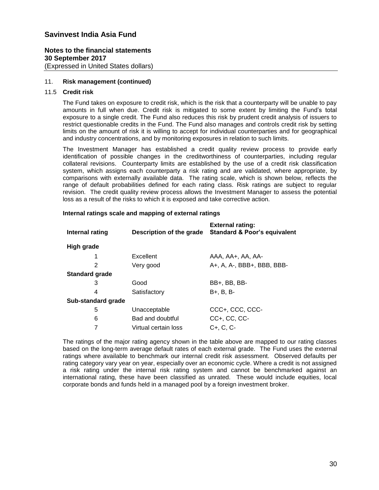# **Notes to the financial statements 30 September 2017** (Expressed in United States dollars)

### 11. **Risk management (continued)**

### 11.5 **Credit risk**

The Fund takes on exposure to credit risk, which is the risk that a counterparty will be unable to pay amounts in full when due. Credit risk is mitigated to some extent by limiting the Fund's total exposure to a single credit. The Fund also reduces this risk by prudent credit analysis of issuers to restrict questionable credits in the Fund. The Fund also manages and controls credit risk by setting limits on the amount of risk it is willing to accept for individual counterparties and for geographical and industry concentrations, and by monitoring exposures in relation to such limits.

The Investment Manager has established a credit quality review process to provide early identification of possible changes in the creditworthiness of counterparties, including regular collateral revisions. Counterparty limits are established by the use of a credit risk classification system, which assigns each counterparty a risk rating and are validated, where appropriate, by comparisons with externally available data. The rating scale, which is shown below, reflects the range of default probabilities defined for each rating class. Risk ratings are subject to regular revision. The credit quality review process allows the Investment Manager to assess the potential loss as a result of the risks to which it is exposed and take corrective action.

| Internal rating       | Description of the grade | <b>External rating:</b><br><b>Standard &amp; Poor's equivalent</b> |
|-----------------------|--------------------------|--------------------------------------------------------------------|
| High grade            |                          |                                                                    |
|                       | Excellent                | AAA. AA+. AA. AA-                                                  |
| 2                     | Very good                | A+, A, A-, BBB+, BBB, BBB-                                         |
| <b>Standard grade</b> |                          |                                                                    |
| 3                     | Good                     | BB+, BB, BB-                                                       |
| 4                     | Satisfactory             | $B+, B, B-$                                                        |
| Sub-standard grade    |                          |                                                                    |
| 5                     | Unacceptable             | CCC+, CCC, CCC-                                                    |
| 6                     | Bad and doubtful         | CC+, CC, CC-                                                       |
| 7                     | Virtual certain loss     | $C+, C, C-$                                                        |
|                       |                          |                                                                    |

#### **Internal ratings scale and mapping of external ratings**

The ratings of the major rating agency shown in the table above are mapped to our rating classes based on the long-term average default rates of each external grade. The Fund uses the external ratings where available to benchmark our internal credit risk assessment. Observed defaults per rating category vary year on year, especially over an economic cycle. Where a credit is not assigned a risk rating under the internal risk rating system and cannot be benchmarked against an international rating, these have been classified as unrated. These would include equities, local corporate bonds and funds held in a managed pool by a foreign investment broker.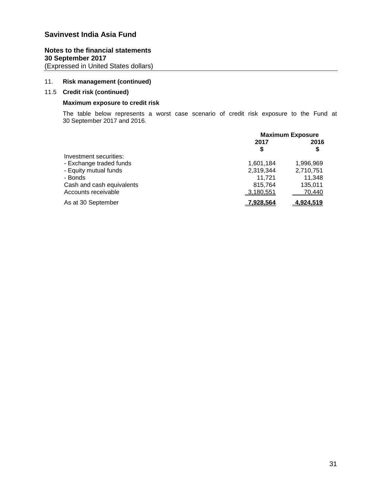# **Notes to the financial statements 30 September 2017**

(Expressed in United States dollars)

# 11. **Risk management (continued)**

# 11.5 **Credit risk (continued)**

# **Maximum exposure to credit risk**

The table below represents a worst case scenario of credit risk exposure to the Fund at 30 September 2017 and 2016.

|                           | <b>Maximum Exposure</b> |                  |
|---------------------------|-------------------------|------------------|
|                           | 2017                    | 2016             |
|                           | S                       | S                |
| Investment securities:    |                         |                  |
| - Exchange traded funds   | 1,601,184               | 1,996,969        |
| - Equity mutual funds     | 2,319,344               | 2,710,751        |
| - Bonds                   | 11.721                  | 11,348           |
| Cash and cash equivalents | 815,764                 | 135,011          |
| Accounts receivable       | 3,180,551               | 70,440           |
| As at 30 September        | 7.928.564               | <u>4.924.519</u> |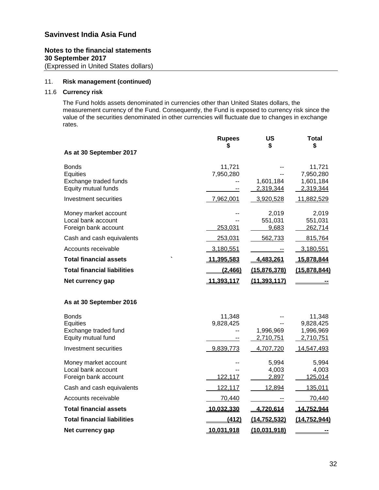# **Notes to the financial statements 30 September 2017** (Expressed in United States dollars)

### 11. **Risk management (continued)**

# 11.6 **Currency risk**

The Fund holds assets denominated in currencies other than United States dollars, the measurement currency of the Fund. Consequently, the Fund is exposed to currency risk since the value of the securities denominated in other currencies will fluctuate due to changes in exchange rates.

|                                                                          | <b>Rupees</b><br>S  | <b>US</b><br>\$           | <b>Total</b><br>\$                            |
|--------------------------------------------------------------------------|---------------------|---------------------------|-----------------------------------------------|
| As at 30 September 2017                                                  |                     |                           |                                               |
| <b>Bonds</b><br>Equities<br>Exchange traded funds<br>Equity mutual funds | 11,721<br>7,950,280 | 1,601,184<br>2,319,344    | 11,721<br>7,950,280<br>1,601,184<br>2,319,344 |
| Investment securities                                                    | 7,962,001           | 3,920,528                 | 11,882,529                                    |
| Money market account<br>Local bank account<br>Foreign bank account       | 253,031             | 2,019<br>551,031<br>9,683 | 2,019<br>551,031<br>262,714                   |
| Cash and cash equivalents                                                | 253,031             | 562,733                   | 815,764                                       |
| Accounts receivable                                                      | 3,180,551           |                           | 3,180,551                                     |
| <b>Total financial assets</b>                                            | <u>11,395,583</u>   | 4,483,261                 | <u>15,878,844</u>                             |
| <b>Total financial liabilities</b>                                       | (2, 466)            | (15, 876, 378)            | (15,878,844)                                  |
| Net currency gap                                                         | 11,393,117          | (11, 393, 117)            |                                               |
| As at 30 September 2016                                                  |                     |                           |                                               |
| <b>Bonds</b><br>Equities<br>Exchange traded fund<br>Equity mutual fund   | 11,348<br>9,828,425 | 1,996,969<br>2,710,751    | 11,348<br>9,828,425<br>1,996,969<br>2,710,751 |
| Investment securities                                                    | 9,839,773           | 4,707,720                 | 14,547,493                                    |
| Money market account<br>Local bank account<br>Foreign bank account       | 122,117             | 5,994<br>4,003<br>2,897   | 5,994<br>4,003<br>125,014                     |
| Cash and cash equivalents                                                | 122,117             | 12,894                    | 135,011                                       |
| Accounts receivable                                                      | 70,440              | $\overline{\phantom{a}}$  | 70,440                                        |
| <b>Total financial assets</b>                                            | 10,032,330          | 4,720,614                 | 14,752,944                                    |
| <b>Total financial liabilities</b>                                       | (412)               | (14, 752, 532)            | (14, 752, 944)                                |
| Net currency gap                                                         | 10,031,918          | (10,031,918)              |                                               |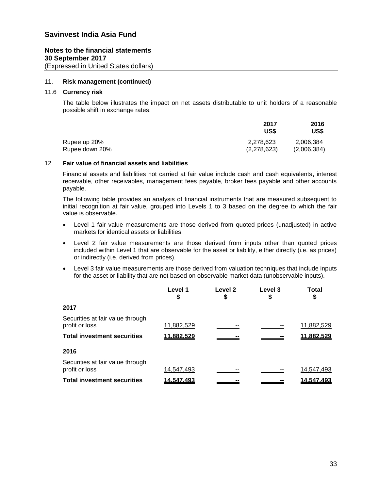| Notes to the financial statements    |
|--------------------------------------|
| 30 September 2017                    |
| (Expressed in United States dollars) |

#### 11. **Risk management (continued)**

#### 11.6 **Currency risk**

The table below illustrates the impact on net assets distributable to unit holders of a reasonable possible shift in exchange rates:

|                | 2017<br>US\$ | 2016<br>US\$ |
|----------------|--------------|--------------|
| Rupee up 20%   | 2.278.623    | 2,006,384    |
| Rupee down 20% | (2,278,623)  | (2,006,384)  |

#### 12 **Fair value of financial assets and liabilities**

Financial assets and liabilities not carried at fair value include cash and cash equivalents, interest receivable, other receivables, management fees payable, broker fees payable and other accounts payable.

The following table provides an analysis of financial instruments that are measured subsequent to initial recognition at fair value, grouped into Levels 1 to 3 based on the degree to which the fair value is observable.

- Level 1 fair value measurements are those derived from quoted prices (unadjusted) in active markets for identical assets or liabilities.
- Level 2 fair value measurements are those derived from inputs other than quoted prices included within Level 1 that are observable for the asset or liability, either directly (i.e. as prices) or indirectly (i.e. derived from prices).
- Level 3 fair value measurements are those derived from valuation techniques that include inputs for the asset or liability that are not based on observable market data (unobservable inputs).

|                                                    | Level 1<br>\$     | Level <sub>2</sub><br>\$ | Level 3<br>\$ | <b>Total</b><br>\$ |
|----------------------------------------------------|-------------------|--------------------------|---------------|--------------------|
| 2017                                               |                   |                          |               |                    |
| Securities at fair value through<br>profit or loss | 11,882,529        |                          |               | 11,882,529         |
| <b>Total investment securities</b>                 | 11.882.529        |                          |               | 11.882.529         |
| 2016                                               |                   |                          |               |                    |
| Securities at fair value through<br>profit or loss | 14,547,493        |                          |               | 14,547,493         |
| <b>Total investment securities</b>                 | <u>14.547.493</u> |                          |               | <u>14.547.493</u>  |